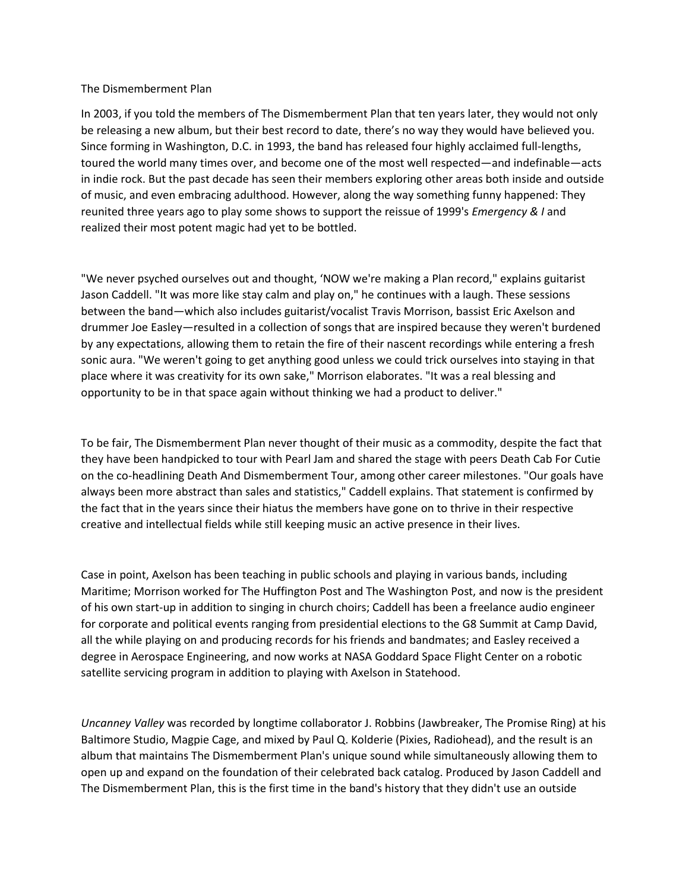## The Dismemberment Plan

In 2003, if you told the members of The Dismemberment Plan that ten years later, they would not only be releasing a new album, but their best record to date, there's no way they would have believed you. Since forming in Washington, D.C. in 1993, the band has released four highly acclaimed full-lengths, toured the world many times over, and become one of the most well respected—and indefinable—acts in indie rock. But the past decade has seen their members exploring other areas both inside and outside of music, and even embracing adulthood. However, along the way something funny happened: They reunited three years ago to play some shows to support the reissue of 1999's *Emergency & I* and realized their most potent magic had yet to be bottled.

"We never psyched ourselves out and thought, 'NOW we're making a Plan record," explains guitarist Jason Caddell. "It was more like stay calm and play on," he continues with a laugh. These sessions between the band—which also includes guitarist/vocalist Travis Morrison, bassist Eric Axelson and drummer Joe Easley—resulted in a collection of songs that are inspired because they weren't burdened by any expectations, allowing them to retain the fire of their nascent recordings while entering a fresh sonic aura. "We weren't going to get anything good unless we could trick ourselves into staying in that place where it was creativity for its own sake," Morrison elaborates. "It was a real blessing and opportunity to be in that space again without thinking we had a product to deliver."

To be fair, The Dismemberment Plan never thought of their music as a commodity, despite the fact that they have been handpicked to tour with Pearl Jam and shared the stage with peers Death Cab For Cutie on the co-headlining Death And Dismemberment Tour, among other career milestones. "Our goals have always been more abstract than sales and statistics," Caddell explains. That statement is confirmed by the fact that in the years since their hiatus the members have gone on to thrive in their respective creative and intellectual fields while still keeping music an active presence in their lives.

Case in point, Axelson has been teaching in public schools and playing in various bands, including Maritime; Morrison worked for The Huffington Post and The Washington Post, and now is the president of his own start-up in addition to singing in church choirs; Caddell has been a freelance audio engineer for corporate and political events ranging from presidential elections to the G8 Summit at Camp David, all the while playing on and producing records for his friends and bandmates; and Easley received a degree in Aerospace Engineering, and now works at NASA Goddard Space Flight Center on a robotic satellite servicing program in addition to playing with Axelson in Statehood.

*Uncanney Valley* was recorded by longtime collaborator J. Robbins (Jawbreaker, The Promise Ring) at his Baltimore Studio, Magpie Cage, and mixed by Paul Q. Kolderie (Pixies, Radiohead), and the result is an album that maintains The Dismemberment Plan's unique sound while simultaneously allowing them to open up and expand on the foundation of their celebrated back catalog. Produced by Jason Caddell and The Dismemberment Plan, this is the first time in the band's history that they didn't use an outside